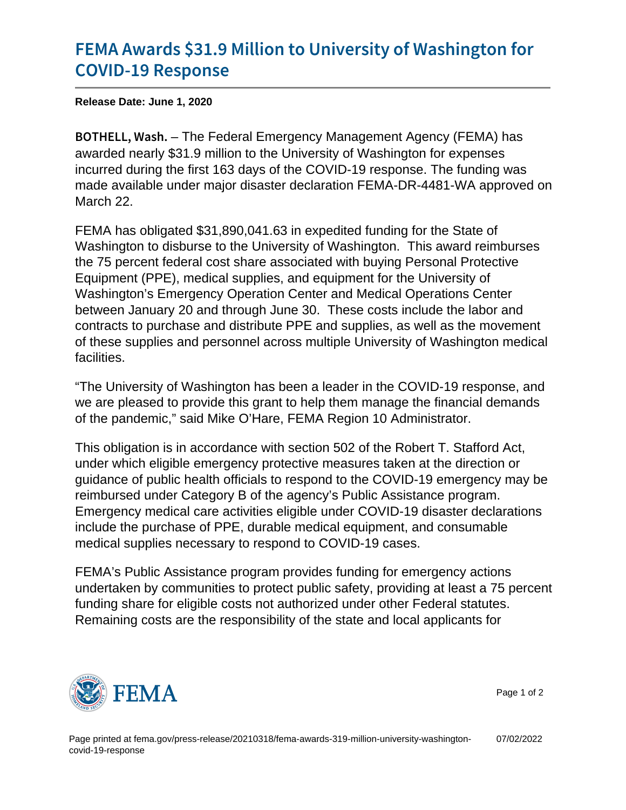## [FEMA Awards \\$31.9 Million to Univ](https://www.fema.gov/press-release/20210318/fema-awards-319-million-university-washington-covid-19-response)ersity [COVID-19 R](https://www.fema.gov/press-release/20210318/fema-awards-319-million-university-washington-covid-19-response)esponse

Release Date: June 1, 2020

B O T H E L L, - Whee Finderal Emergency Management Agency (FEMA) has awarded nearly \$31.9 million to the University of Washington for expenses incurred during the first 163 days of the COVID-19 response. The funding was made available under major disaster declaration FEMA-DR-4481-WA approved on March 22.

FEMA has obligated \$31,890,041.63 in expedited funding for the State of Washington to disburse to the University of Washington. This award reimburses the 75 percent federal cost share associated with buying Personal Protective Equipment (PPE), medical supplies, and equipment for the University of Washington's Emergency Operation Center and Medical Operations Center between January 20 and through June 30. These costs include the labor and contracts to purchase and distribute PPE and supplies, as well as the movement of these supplies and personnel across multiple University of Washington medical facilities.

"The University of Washington has been a leader in the COVID-19 response, and we are pleased to provide this grant to help them manage the financial demands of the pandemic," said Mike O'Hare, FEMA Region 10 Administrator.

This obligation is in accordance with section 502 of the Robert T. Stafford Act, under which eligible emergency protective measures taken at the direction or guidance of public health officials to respond to the COVID-19 emergency may be reimbursed under Category B of the agency's Public Assistance program. Emergency medical care activities eligible under COVID-19 disaster declarations include the purchase of PPE, durable medical equipment, and consumable medical supplies necessary to respond to COVID-19 cases.

FEMA's Public Assistance program provides funding for emergency actions undertaken by communities to protect public safety, providing at least a 75 percent funding share for eligible costs not authorized under other Federal statutes. Remaining costs are the responsibility of the state and local applicants for



Page 1 of 2